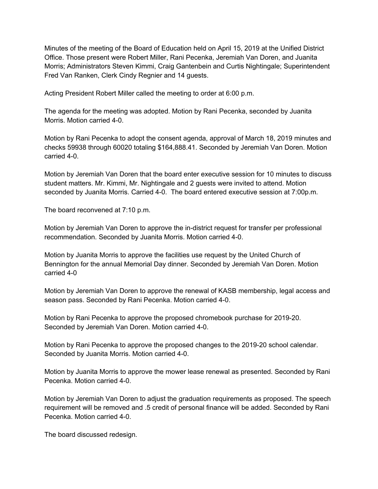Minutes of the meeting of the Board of Education held on April 15, 2019 at the Unified District Office. Those present were Robert Miller, Rani Pecenka, Jeremiah Van Doren, and Juanita Morris; Administrators Steven Kimmi, Craig Gantenbein and Curtis Nightingale; Superintendent Fred Van Ranken, Clerk Cindy Regnier and 14 guests.

Acting President Robert Miller called the meeting to order at 6:00 p.m.

The agenda for the meeting was adopted. Motion by Rani Pecenka, seconded by Juanita Morris. Motion carried 4-0.

Motion by Rani Pecenka to adopt the consent agenda, approval of March 18, 2019 minutes and checks 59938 through 60020 totaling \$164,888.41. Seconded by Jeremiah Van Doren. Motion carried 4-0.

Motion by Jeremiah Van Doren that the board enter executive session for 10 minutes to discuss student matters. Mr. Kimmi, Mr. Nightingale and 2 guests were invited to attend. Motion seconded by Juanita Morris. Carried 4-0. The board entered executive session at 7:00p.m.

The board reconvened at 7:10 p.m.

Motion by Jeremiah Van Doren to approve the in-district request for transfer per professional recommendation. Seconded by Juanita Morris. Motion carried 4-0.

Motion by Juanita Morris to approve the facilities use request by the United Church of Bennington for the annual Memorial Day dinner. Seconded by Jeremiah Van Doren. Motion carried 4-0

Motion by Jeremiah Van Doren to approve the renewal of KASB membership, legal access and season pass. Seconded by Rani Pecenka. Motion carried 4-0.

Motion by Rani Pecenka to approve the proposed chromebook purchase for 2019-20. Seconded by Jeremiah Van Doren. Motion carried 4-0.

Motion by Rani Pecenka to approve the proposed changes to the 2019-20 school calendar. Seconded by Juanita Morris. Motion carried 4-0.

Motion by Juanita Morris to approve the mower lease renewal as presented. Seconded by Rani Pecenka. Motion carried 4-0.

Motion by Jeremiah Van Doren to adjust the graduation requirements as proposed. The speech requirement will be removed and .5 credit of personal finance will be added. Seconded by Rani Pecenka. Motion carried 4-0.

The board discussed redesign.